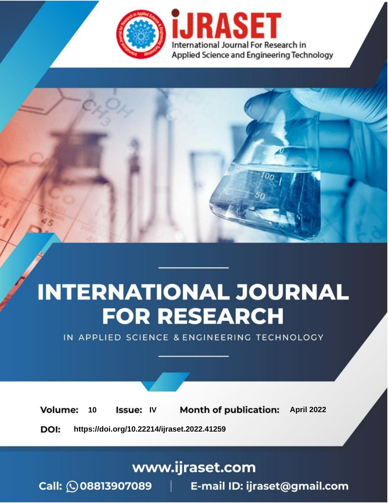

# **INTERNATIONAL JOURNAL FOR RESEARCH**

IN APPLIED SCIENCE & ENGINEERING TECHNOLOGY

10 **Issue: IV Month of publication:** April 2022 **Volume:** 

**https://doi.org/10.22214/ijraset.2022.41259**DOI:

www.ijraset.com

Call: 008813907089 | E-mail ID: ijraset@gmail.com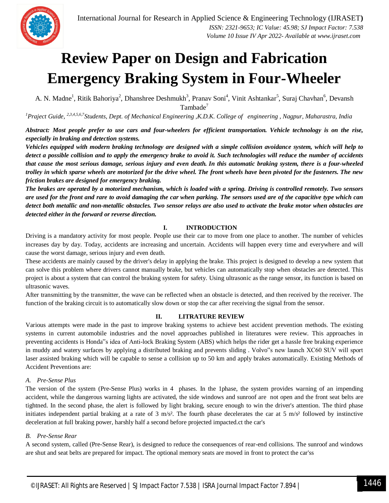

### **Review Paper on Design and Fabrication Emergency Braking System in Four-Wheeler**

A. N. Madne<sup>1</sup>, Ritik Bahoriya<sup>2</sup>, Dhanshree Deshmukh<sup>3</sup>, Pranav Soni<sup>4</sup>, Vinit Ashtankar<sup>5</sup>, Suraj Chavhan<sup>6</sup>, Devansh Tambade<sup>7</sup>

*<sup>1</sup>Praject Guide, 2,3,4,5,6,7Students, Dept. of Mechanical Engineering ,K.D.K. College of engineering , Nagpur, Maharastra, India*

*Abstract: Most people prefer to use cars and four-wheelers for efficient transportation. Vehicle technology is on the rise, especially in braking and detection systems.* 

*Vehicles equipped with modern braking technology are designed with a simple collision avoidance system, which will help to detect a possible collision and to apply the emergency brake to avoid it. Such technologies will reduce the number of accidents that cause the most serious damage, serious injury and even death. In this automatic braking system, there is a four-wheeled trolley in which sparse wheels are motorized for the drive wheel. The front wheels have been pivoted for the fasteners. The new friction brakes are designed for emergency braking.*

*The brakes are operated by a motorized mechanism, which is loaded with a spring. Driving is controlled remotely. Two sensors are used for the front and rare to avoid damaging the car when parking. The sensors used are of the capacitive type which can detect both metallic and non-metallic obstacles. Two sensor relays are also used to activate the brake motor when obstacles are detected either in the forward or reverse direction.*

#### **I. INTRODUCTION**

Driving is a mandatory activity for most people. People use their car to move from one place to another. The number of vehicles increases day by day. Today, accidents are increasing and uncertain. Accidents will happen every time and everywhere and will cause the worst damage, serious injury and even death.

These accidents are mainly caused by the driver's delay in applying the brake. This project is designed to develop a new system that can solve this problem where drivers cannot manually brake, but vehicles can automatically stop when obstacles are detected. This project is about a system that can control the braking system for safety. Using ultrasonic as the range sensor, its function is based on ultrasonic waves.

After transmitting by the transmitter, the wave can be reflected when an obstacle is detected, and then received by the receiver. The function of the braking circuit is to automatically slow down or stop the car after receiving the signal from the sensor.

#### **II. LITRATURE REVIEW**

Various attempts were made in the past to improve braking systems to achieve best accident prevention methods. The existing systems in current automobile industries and the novel approaches published in literatures were review. This approaches in preventing accidents is Honda"s idea of Anti-lock Braking System (ABS) which helps the rider get a hassle free braking experience in muddy and watery surfaces by applying a distributed braking and prevents sliding . Volvo"s new launch XC60 SUV will sport laser assisted braking which will be capable to sense a collision up to 50 km and apply brakes automatically. Existing Methods of Accident Preventions are:

#### *A. Pre-Sense Plus*

The version of the system (Pre-Sense Plus) works in 4 phases. In the 1phase, the system provides warning of an impending accident, while the dangerous warning lights are activated, the side windows and sunroof are not open and the front seat belts are tightned. In the second phase, the alert is followed by light braking, secure enough to win the driver's attention. The third phase initiates independent partial braking at a rate of 3 m/s<sup>2</sup>. The fourth phase decelerates the car at 5 m/s<sup>2</sup> followed by instinctive deceleration at full braking power, harshly half a second before projected impacted.ct the car's

#### *B. Pre-Sense Rear*

A second system, called (Pre-Sense Rear), is designed to reduce the consequences of rear-end collisions. The sunroof and windows are shut and seat belts are prepared for impact. The optional memory seats are moved in front to protect the car'ss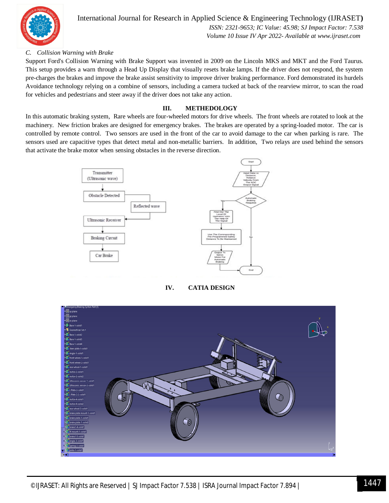

International Journal for Research in Applied Science & Engineering Technology (IJRASET**)**  *ISSN: 2321-9653; IC Value: 45.98; SJ Impact Factor: 7.538 Volume 10 Issue IV Apr 2022- Available at www.ijraset.com*

#### *C. Collision Warning with Brake*

Support Ford's Collision Warning with Brake Support was invented in 2009 on the Lincoln MKS and MKT and the Ford Taurus. This setup provides a warn through a Head Up Display that visually resets brake lamps. If the driver does not respond, the system pre-charges the brakes and impove the brake assist sensitivity to improve driver braking performance. Ford demonstrated its hurdels Avoidance technology relying on a combine of sensors, including a camera tucked at back of the rearview mirror, to scan the road for vehicles and pedestrians and steer away if the driver does not take any action.

#### **III. METHEDOLOGY**

In this automatic braking system, Rare wheels are four-wheeled motors for drive wheels. The front wheels are rotated to look at the machinery. New friction brakes are designed for emergency brakes. The brakes are operated by a spring-loaded motor. The car is controlled by remote control. Two sensors are used in the front of the car to avoid damage to the car when parking is rare. The sensors used are capacitive types that detect metal and non-metallic barriers. In addition, Two relays are used behind the sensors that activate the brake motor when sensing obstacles in the reverse direction.



#### **IV. CATIA DESIGN**

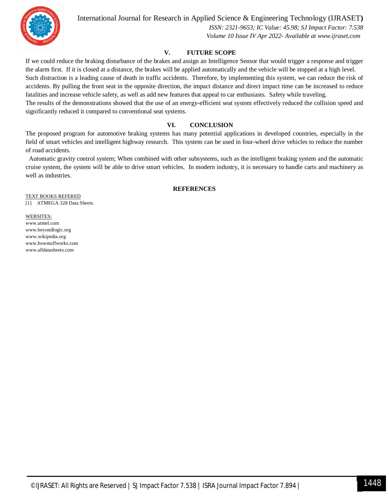

International Journal for Research in Applied Science & Engineering Technology (IJRASET**)**

 *ISSN: 2321-9653; IC Value: 45.98; SJ Impact Factor: 7.538 Volume 10 Issue IV Apr 2022- Available at www.ijraset.com*

#### **V. FUTURE SCOPE**

If we could reduce the braking disturbance of the brakes and assign an Intelligence Sensor that would trigger a response and trigger the alarm first. If it is closed at a distance, the brakes will be applied automatically and the vehicle will be stopped at a high level. Such distraction is a leading cause of death in traffic accidents. Therefore, by implementing this system, we can reduce the risk of accidents. By pulling the front seat in the opposite direction, the impact distance and direct impact time can be increased to reduce fatalities and increase vehicle safety, as well as add new features that appeal to car enthusiasts. Safety while traveling. The results of the demonstrations showed that the use of an energy-efficient seat system effectively reduced the collision speed and

significantly reduced it compared to conventional seat systems.

#### **VI. CONCLUSION**

The proposed program for automotive braking systems has many potential applications in developed countries, especially in the field of smart vehicles and intelligent highway research. This system can be used in four-wheel drive vehicles to reduce the number of road accidents.

 Automatic gravity control system; When combined with other subsystems, such as the intelligent braking system and the automatic cruise system, the system will be able to drive smart vehicles. In modern industry, it is necessary to handle carts and machinery as well as industries.

#### **REFERENCES**

TEXT BOOKS REFERED [1] ATMEGA 328 Data Sheets.

#### WEBSITES:

www.atmel.com www.beyondlogic.org www.wikipedia.org www.howstuffworks.com www.alldatasheets.com